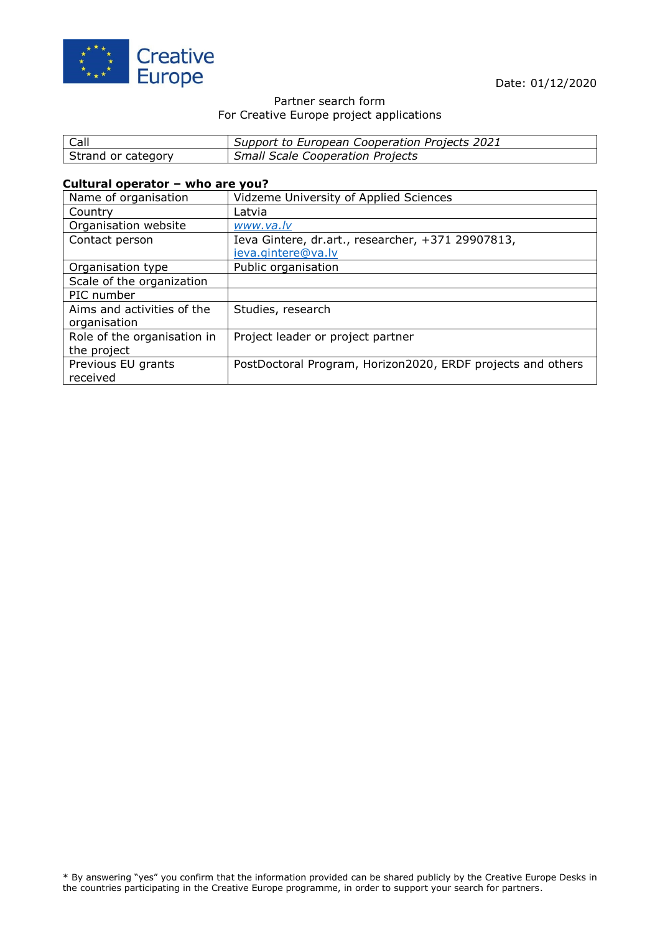

### Partner search form For Creative Europe project applications

| Call               | Support to European Cooperation Projects 2021 |
|--------------------|-----------------------------------------------|
| Strand or category | <b>Small Scale Cooperation Projects</b>       |

### **Cultural operator – who are you?**

| Name of organisation        | Vidzeme University of Applied Sciences                      |
|-----------------------------|-------------------------------------------------------------|
| Country                     | Latvia                                                      |
| Organisation website        | www.va.lv                                                   |
| Contact person              | Ieva Gintere, dr. art., researcher, +371 29907813,          |
|                             | ieva.gintere@va.lv                                          |
| Organisation type           | Public organisation                                         |
| Scale of the organization   |                                                             |
| PIC number                  |                                                             |
| Aims and activities of the  | Studies, research                                           |
| organisation                |                                                             |
| Role of the organisation in | Project leader or project partner                           |
| the project                 |                                                             |
| Previous EU grants          | PostDoctoral Program, Horizon2020, ERDF projects and others |
| received                    |                                                             |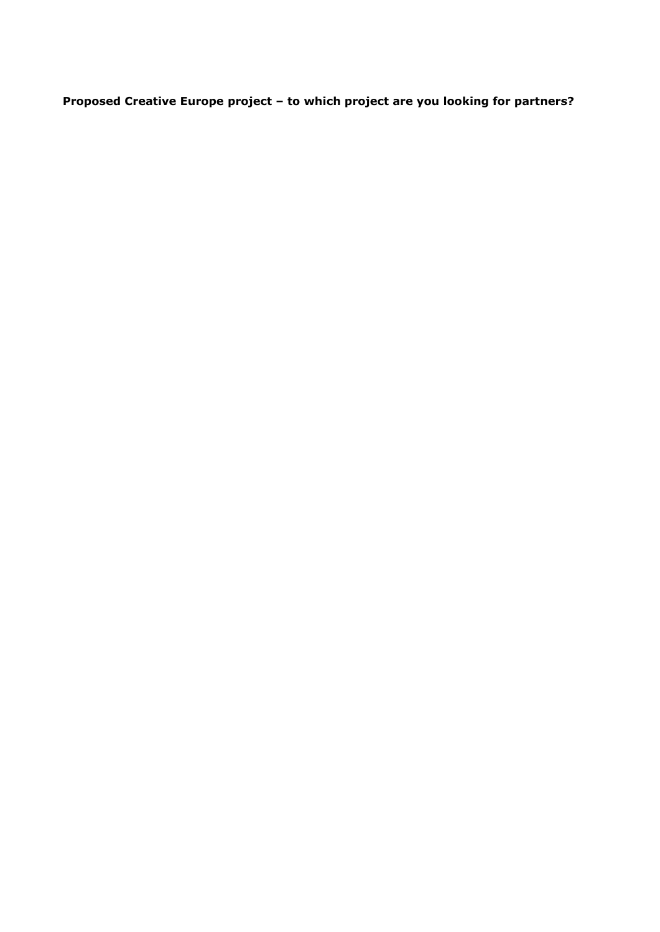**Proposed Creative Europe project – to which project are you looking for partners?**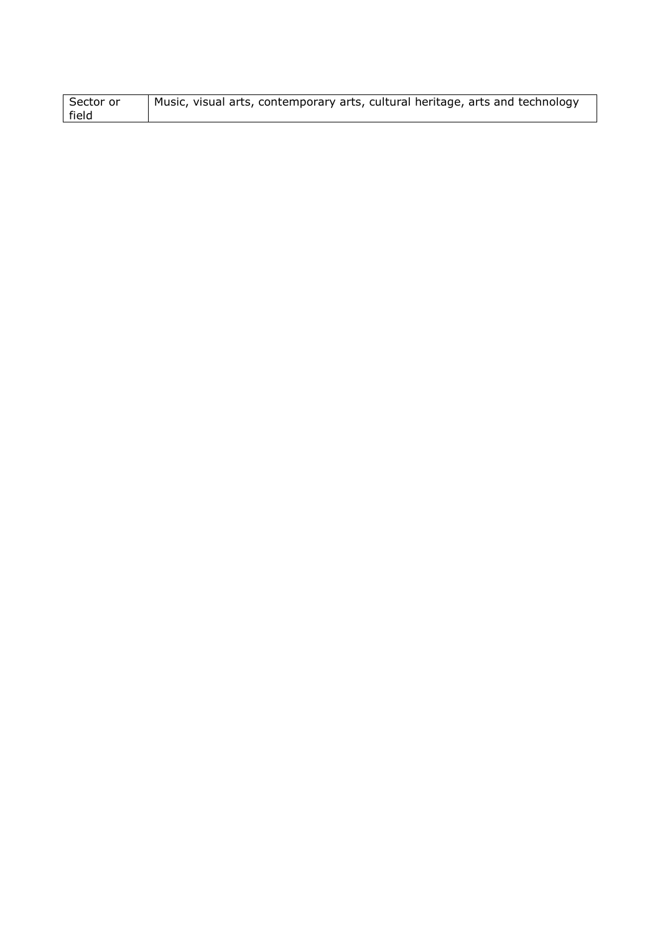| Sector or | Music, visual arts, contemporary arts, cultural heritage, arts and technology |
|-----------|-------------------------------------------------------------------------------|
| field     |                                                                               |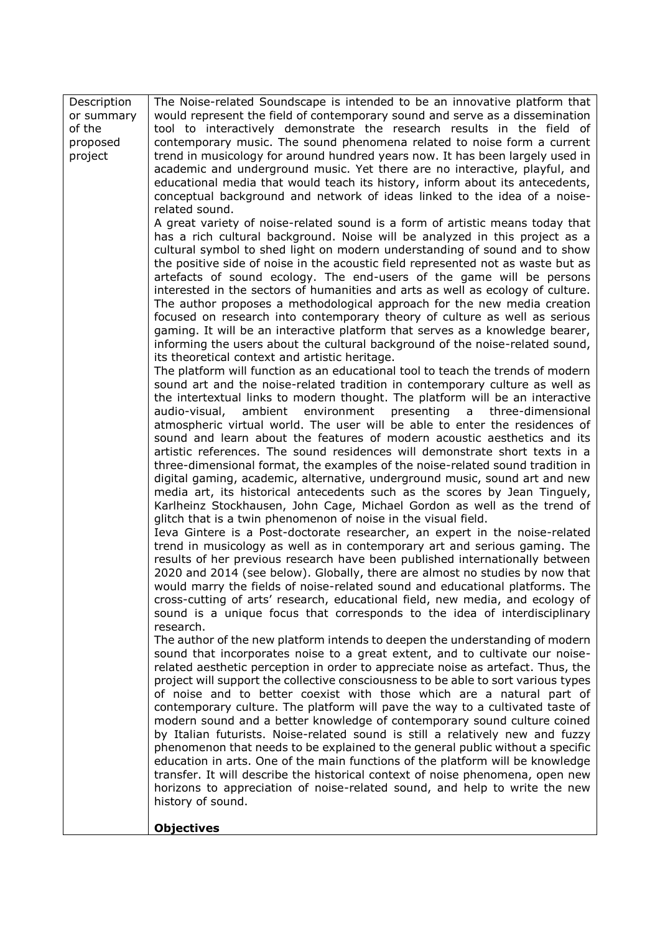| Description<br>or summary<br>of the | The Noise-related Soundscape is intended to be an innovative platform that<br>would represent the field of contemporary sound and serve as a dissemination<br>tool to interactively demonstrate the research results in the field of                                                                                                                                                                                                                                                                                                                                                                                                                                                                                                                                                                                                                                                                                                                                                                                                                                                                                                                                                                                                                                                                                                                                                                                                                                                                                                                                                                                                                                                                                                                                                                                                                                                                                                                                                                                                                                                                                                                                                                                                                                                                                                                                                                                                                                                                                                                                                                                                                                                                                                                                                                                                                                                                                                                                                                                                                                                                                                                                                                                                                                                                                                                                                                                                                                                                                                            |
|-------------------------------------|-------------------------------------------------------------------------------------------------------------------------------------------------------------------------------------------------------------------------------------------------------------------------------------------------------------------------------------------------------------------------------------------------------------------------------------------------------------------------------------------------------------------------------------------------------------------------------------------------------------------------------------------------------------------------------------------------------------------------------------------------------------------------------------------------------------------------------------------------------------------------------------------------------------------------------------------------------------------------------------------------------------------------------------------------------------------------------------------------------------------------------------------------------------------------------------------------------------------------------------------------------------------------------------------------------------------------------------------------------------------------------------------------------------------------------------------------------------------------------------------------------------------------------------------------------------------------------------------------------------------------------------------------------------------------------------------------------------------------------------------------------------------------------------------------------------------------------------------------------------------------------------------------------------------------------------------------------------------------------------------------------------------------------------------------------------------------------------------------------------------------------------------------------------------------------------------------------------------------------------------------------------------------------------------------------------------------------------------------------------------------------------------------------------------------------------------------------------------------------------------------------------------------------------------------------------------------------------------------------------------------------------------------------------------------------------------------------------------------------------------------------------------------------------------------------------------------------------------------------------------------------------------------------------------------------------------------------------------------------------------------------------------------------------------------------------------------------------------------------------------------------------------------------------------------------------------------------------------------------------------------------------------------------------------------------------------------------------------------------------------------------------------------------------------------------------------------------------------------------------------------------------------------------------------------|
| proposed<br>project                 | contemporary music. The sound phenomena related to noise form a current<br>trend in musicology for around hundred years now. It has been largely used in<br>academic and underground music. Yet there are no interactive, playful, and<br>educational media that would teach its history, inform about its antecedents,                                                                                                                                                                                                                                                                                                                                                                                                                                                                                                                                                                                                                                                                                                                                                                                                                                                                                                                                                                                                                                                                                                                                                                                                                                                                                                                                                                                                                                                                                                                                                                                                                                                                                                                                                                                                                                                                                                                                                                                                                                                                                                                                                                                                                                                                                                                                                                                                                                                                                                                                                                                                                                                                                                                                                                                                                                                                                                                                                                                                                                                                                                                                                                                                                         |
|                                     |                                                                                                                                                                                                                                                                                                                                                                                                                                                                                                                                                                                                                                                                                                                                                                                                                                                                                                                                                                                                                                                                                                                                                                                                                                                                                                                                                                                                                                                                                                                                                                                                                                                                                                                                                                                                                                                                                                                                                                                                                                                                                                                                                                                                                                                                                                                                                                                                                                                                                                                                                                                                                                                                                                                                                                                                                                                                                                                                                                                                                                                                                                                                                                                                                                                                                                                                                                                                                                                                                                                                                 |
|                                     | conceptual background and network of ideas linked to the idea of a noise-<br>related sound.<br>A great variety of noise-related sound is a form of artistic means today that<br>has a rich cultural background. Noise will be analyzed in this project as a<br>cultural symbol to shed light on modern understanding of sound and to show<br>the positive side of noise in the acoustic field represented not as waste but as<br>artefacts of sound ecology. The end-users of the game will be persons<br>interested in the sectors of humanities and arts as well as ecology of culture.<br>The author proposes a methodological approach for the new media creation<br>focused on research into contemporary theory of culture as well as serious<br>gaming. It will be an interactive platform that serves as a knowledge bearer,<br>informing the users about the cultural background of the noise-related sound,<br>its theoretical context and artistic heritage.<br>The platform will function as an educational tool to teach the trends of modern<br>sound art and the noise-related tradition in contemporary culture as well as<br>the intertextual links to modern thought. The platform will be an interactive<br>audio-visual,<br>ambient environment<br>presenting<br>a<br>three-dimensional<br>atmospheric virtual world. The user will be able to enter the residences of<br>sound and learn about the features of modern acoustic aesthetics and its<br>artistic references. The sound residences will demonstrate short texts in a<br>three-dimensional format, the examples of the noise-related sound tradition in<br>digital gaming, academic, alternative, underground music, sound art and new<br>media art, its historical antecedents such as the scores by Jean Tinguely,<br>Karlheinz Stockhausen, John Cage, Michael Gordon as well as the trend of<br>glitch that is a twin phenomenon of noise in the visual field.<br>Ieva Gintere is a Post-doctorate researcher, an expert in the noise-related<br>trend in musicology as well as in contemporary art and serious gaming. The<br>results of her previous research have been published internationally between<br>2020 and 2014 (see below). Globally, there are almost no studies by now that<br>would marry the fields of noise-related sound and educational platforms. The<br>cross-cutting of arts' research, educational field, new media, and ecology of<br>sound is a unique focus that corresponds to the idea of interdisciplinary<br>research.<br>The author of the new platform intends to deepen the understanding of modern<br>sound that incorporates noise to a great extent, and to cultivate our noise-<br>related aesthetic perception in order to appreciate noise as artefact. Thus, the<br>project will support the collective consciousness to be able to sort various types<br>of noise and to better coexist with those which are a natural part of<br>contemporary culture. The platform will pave the way to a cultivated taste of<br>modern sound and a better knowledge of contemporary sound culture coined<br>by Italian futurists. Noise-related sound is still a relatively new and fuzzy<br>phenomenon that needs to be explained to the general public without a specific<br>education in arts. One of the main functions of the platform will be knowledge<br>transfer. It will describe the historical context of noise phenomena, open new<br>horizons to appreciation of noise-related sound, and help to write the new |
|                                     | history of sound.<br><b>Objectives</b>                                                                                                                                                                                                                                                                                                                                                                                                                                                                                                                                                                                                                                                                                                                                                                                                                                                                                                                                                                                                                                                                                                                                                                                                                                                                                                                                                                                                                                                                                                                                                                                                                                                                                                                                                                                                                                                                                                                                                                                                                                                                                                                                                                                                                                                                                                                                                                                                                                                                                                                                                                                                                                                                                                                                                                                                                                                                                                                                                                                                                                                                                                                                                                                                                                                                                                                                                                                                                                                                                                          |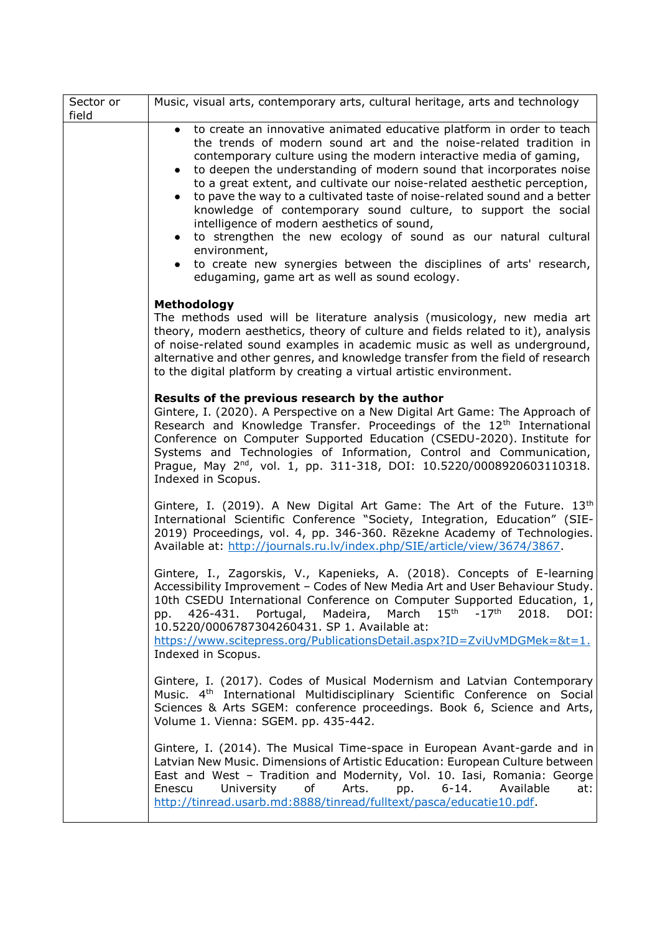| Sector or<br>field | Music, visual arts, contemporary arts, cultural heritage, arts and technology                                                                                                                                                                                                                                                                                                                                                                                                                                                                                                                                                                                                                                                                                                                                     |
|--------------------|-------------------------------------------------------------------------------------------------------------------------------------------------------------------------------------------------------------------------------------------------------------------------------------------------------------------------------------------------------------------------------------------------------------------------------------------------------------------------------------------------------------------------------------------------------------------------------------------------------------------------------------------------------------------------------------------------------------------------------------------------------------------------------------------------------------------|
|                    | to create an innovative animated educative platform in order to teach<br>$\bullet$<br>the trends of modern sound art and the noise-related tradition in<br>contemporary culture using the modern interactive media of gaming,<br>to deepen the understanding of modern sound that incorporates noise<br>$\bullet$<br>to a great extent, and cultivate our noise-related aesthetic perception,<br>to pave the way to a cultivated taste of noise-related sound and a better<br>$\bullet$<br>knowledge of contemporary sound culture, to support the social<br>intelligence of modern aesthetics of sound,<br>to strengthen the new ecology of sound as our natural cultural<br>environment,<br>to create new synergies between the disciplines of arts' research,<br>edugaming, game art as well as sound ecology. |
|                    | <b>Methodology</b><br>The methods used will be literature analysis (musicology, new media art<br>theory, modern aesthetics, theory of culture and fields related to it), analysis<br>of noise-related sound examples in academic music as well as underground,<br>alternative and other genres, and knowledge transfer from the field of research<br>to the digital platform by creating a virtual artistic environment.                                                                                                                                                                                                                                                                                                                                                                                          |
|                    | Results of the previous research by the author<br>Gintere, I. (2020). A Perspective on a New Digital Art Game: The Approach of<br>Research and Knowledge Transfer. Proceedings of the 12 <sup>th</sup> International<br>Conference on Computer Supported Education (CSEDU-2020). Institute for<br>Systems and Technologies of Information, Control and Communication,<br>Prague, May 2 <sup>nd</sup> , vol. 1, pp. 311-318, DOI: 10.5220/0008920603110318.<br>Indexed in Scopus.                                                                                                                                                                                                                                                                                                                                  |
|                    | Gintere, I. (2019). A New Digital Art Game: The Art of the Future. $13th$<br>International Scientific Conference "Society, Integration, Education" (SIE-<br>2019) Proceedings, vol. 4, pp. 346-360. Rēzekne Academy of Technologies.<br>Available at: http://journals.ru.lv/index.php/SIE/article/view/3674/3867.                                                                                                                                                                                                                                                                                                                                                                                                                                                                                                 |
|                    | Gintere, I., Zagorskis, V., Kapenieks, A. (2018). Concepts of E-learning<br>Accessibility Improvement - Codes of New Media Art and User Behaviour Study.<br>10th CSEDU International Conference on Computer Supported Education, 1,<br>Portugal, Madeira, March 15th<br>$-17$ <sup>th</sup><br>426-431.<br>2018. DOI:<br>DD.<br>10.5220/0006787304260431. SP 1. Available at:<br>https://www.scitepress.org/PublicationsDetail.aspx?ID=ZviUvMDGMek=&t=1.<br>Indexed in Scopus.                                                                                                                                                                                                                                                                                                                                    |
|                    | Gintere, I. (2017). Codes of Musical Modernism and Latvian Contemporary<br>Music. 4 <sup>th</sup> International Multidisciplinary Scientific Conference on Social<br>Sciences & Arts SGEM: conference proceedings. Book 6, Science and Arts,<br>Volume 1. Vienna: SGEM. pp. 435-442.                                                                                                                                                                                                                                                                                                                                                                                                                                                                                                                              |
|                    | Gintere, I. (2014). The Musical Time-space in European Avant-garde and in<br>Latvian New Music. Dimensions of Artistic Education: European Culture between<br>East and West - Tradition and Modernity, Vol. 10. Iasi, Romania: George<br>of the control<br>University<br>Arts.<br>$6 - 14.$<br>Available<br>Enescu<br>pp.<br>at:<br>http://tinread.usarb.md:8888/tinread/fulltext/pasca/educatie10.pdf.                                                                                                                                                                                                                                                                                                                                                                                                           |